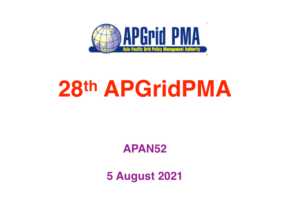

## **28th APGridPMA**

#### **APAN52**

**5 August 2021**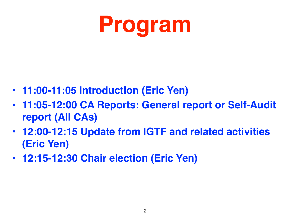

- **• 11:00-11:05 Introduction (Eric Yen)**
- **• 11:05-12:00 CA Reports: General report or Self-Audit report (All CAs)**
- **• 12:00-12:15 Update from IGTF and related activities (Eric Yen)**
- **• 12:15-12:30 Chair election (Eric Yen)**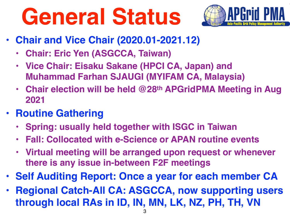# **General Status**



- **• Chair and Vice Chair (2020.01-2021.12)**
	- **• Chair: Eric Yen (ASGCCA, Taiwan)**
	- **• Vice Chair: Eisaku Sakane (HPCI CA, Japan) and Muhammad Farhan SJAUGI (MYIFAM CA, Malaysia)**
	- **• Chair election will be held @28th APGridPMA Meeting in Aug 2021**
- **• Routine Gathering**
	- **• Spring: usually held together with ISGC in Taiwan**
	- **• Fall: Collocated with e-Science or APAN routine events**
	- **• Virtual meeting will be arranged upon request or whenever there is any issue in-between F2F meetings**
- **• Self Auditing Report: Once a year for each member CA**
- **• Regional Catch-All CA: ASGCCA, now supporting users through local RAs in ID, IN, MN, LK, NZ, PH, TH, VN**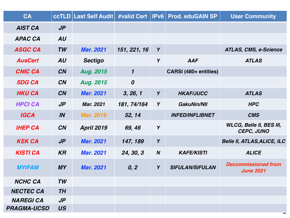| CA                 |           | <b>ccTLD Last Self Audit</b> | #valid Cert           | IPv6             | <b>Prod. eduGAIN SP</b> | <b>User Community</b>                                |
|--------------------|-----------|------------------------------|-----------------------|------------------|-------------------------|------------------------------------------------------|
| <b>AIST CA</b>     | $J\!\!P$  |                              |                       |                  |                         |                                                      |
| <b>APAC CA</b>     | <b>AU</b> |                              |                       |                  |                         |                                                      |
| <b>ASGC CA</b>     | <b>TW</b> | <b>Mar. 2021</b>             | 151, 221, 16          | Y                |                         | <b>ATLAS, CMS, e-Science</b>                         |
| <b>AusCert</b>     | AU        | <b>Sectigo</b>               |                       | Y                | <b>AAF</b>              | <b>ATLAS</b>                                         |
| <b>CNIC CA</b>     | <b>CN</b> | <b>Aug. 2015</b>             | $\boldsymbol{\prime}$ |                  | CARSI (480+ entities)   |                                                      |
| <b>SDG CA</b>      | <b>CN</b> | <b>Aug. 2015</b>             | $\boldsymbol{0}$      |                  |                         |                                                      |
| <b>HKU CA</b>      | <b>CN</b> | <b>Mar. 2021</b>             | 3, 26, 1              | Y                | <b>HKAF/JUCC</b>        | <b>ATLAS</b>                                         |
| <b>HPCI CA</b>     | $J\!\!P$  | <b>Mar. 2021</b>             | 181, 74/164           | Y                | <b>GakuNin/NII</b>      | <b>HPC</b>                                           |
| <b>IGCA</b>        | IN        | <b>Mar. 2018</b>             | 52, 14                |                  | <b>INFED/INFLIBNET</b>  | <b>CMS</b>                                           |
| <b>IHEP CA</b>     | <b>CN</b> | <b>April 2019</b>            | 69, 46                | Y                |                         | <b>WLCG, Belle II, BES III,</b><br><b>CEPC, JUNO</b> |
| <b>KEK CA</b>      | $J\!\!P$  | <b>Mar. 2021</b>             | 147, 189              | Y                |                         | <b>Belle II, ATLAS, ALICE, ILC</b>                   |
| <b>KISTI CA</b>    | <b>KR</b> | <b>Mar. 2021</b>             | 24, 30, 3             | $\boldsymbol{N}$ | <b>KAFE/KISTI</b>       | <b>ALICE</b>                                         |
| <b>MYIFAM</b>      | <b>MY</b> | <b>Mar. 2021</b>             | 0, 2                  | Y                | <b>SIFULAN/SIFULAN</b>  | <b>Decommissioned from</b><br><b>June 2021</b>       |
| <b>NCHC CA</b>     | TW        |                              |                       |                  |                         |                                                      |
| <b>NECTEC CA</b>   | <b>TH</b> |                              |                       |                  |                         |                                                      |
| <b>NAREGI CA</b>   | $J\!P$    |                              |                       |                  |                         |                                                      |
| <b>PRAGMA-UCSD</b> | <b>US</b> |                              |                       |                  |                         | $\mathbf{+}$                                         |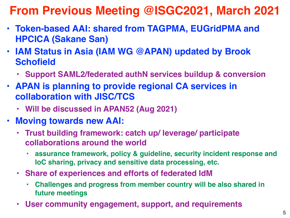#### **From Previous Meeting @ISGC2021, March 2021**

- **• Token-based AAI: shared from TAGPMA, EUGridPMA and HPCICA (Sakane San)**
- **• IAM Status in Asia (IAM WG @APAN) updated by Brook Schofield** 
	- **• Support SAML2/federated authN services buildup & conversion**
- **• APAN is planning to provide regional CA services in collaboration with JISC/TCS** 
	- **• Will be discussed in APAN52 (Aug 2021)**
- **• Moving towards new AAI:**
	- **• Trust building framework: catch up/ leverage/ participate collaborations around the world** 
		- **• assurance framework, policy & guideline, security incident response and IoC sharing, privacy and sensitive data processing, etc.**
	- **• Share of experiences and efforts of federated IdM**
		- **• Challenges and progress from member country will be also shared in future meetings**
	- **• User community engagement, support, and requirements**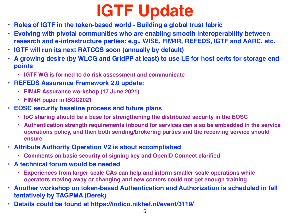### **IGTF Update**

- **• Roles of IGTF in the token-based world Building a global trust fabric**
- **• Evolving with pivotal communities who are enabling smooth interoperability between research and e-infrastructure parties: e.g., WISE, FIM4R, REFEDS, IGTF and AARC, etc.**
- **• IGTF will run its next RATCCS soon (annually by default)**
- **• A growing desire (by WLCG and GridPP at least) to use LE for host certs for storage end points** 
	- **• IGTF WG is formed to do risk assessment and communicate**
- **• REFEDS Assurance Framework 2.0 update:**
	- **• FIM4R Assurance workshop (17 June 2021)**
	- **• FIM4R paper in ISGC2021**
- **• EOSC security baseline process and future plans** 
	- **• IoC sharing should be a base for strengthening the distributed security in the EOSC**
	- **• Authentication strength requirements inbound for services can also be embedded in the service operations policy, and then both sending/brokering parties and the receiving service should ensure**
- **• Attribute Authority Operation V2 is about accomplished** 
	- **• Comments on basic security of signing key and OpenID Connect clarified**
- **• A technical forum would be needed** 
	- **• Experiences from larger-scale CAs can help and inform smaller-scale operations while operators moving away or changing and new comers could not get enough training**
- **• Another workshop on token-based Authentication and Authorization is scheduled in fall tentatively by TAGPMA (Derek)**
- **• Details could be found at https://indico.nikhef.nl/event/3119/**